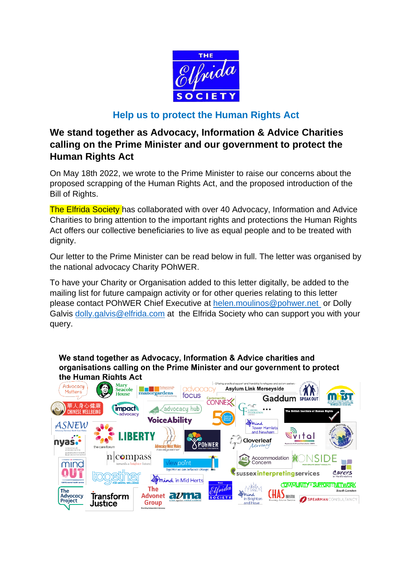

## **Help us to protect the Human Rights Act**

## **We stand together as Advocacy, Information & Advice Charities calling on the Prime Minister and our government to protect the Human Rights Act**

On May 18th 2022, we wrote to the Prime Minister to raise our concerns about the proposed scrapping of the Human Rights Act, and the proposed introduction of the Bill of Rights.

The Elfrida Society has collaborated with over 40 Advocacy, Information and Advice Charities to bring attention to the important rights and protections the Human Rights Act offers our collective beneficiaries to live as equal people and to be treated with dignity.

Our letter to the Prime Minister can be read below in full. The letter was organised by the national advocacy Charity POhWER.

To have your Charity or Organisation added to this letter digitally, be added to the mailing list for future campaign activity or for other queries relating to this letter please contact POhWER Chief Executive at [helen.moulinos@pohwer.net](mailto:helen.moulinos@pohwer.net?subject=Advocacy%20Open%20Letter%20to%20the%20Prime%20Minister) or Dolly Galvis [dolly.galvis@elfrida.com](mailto:dolly.galvis@elfrida.com) at the Elfrida Society who can support you with your query.

We stand together as Advocacy, Information & Advice charities and organisations calling on the Prime Minister and our government to protect the Human Rights Act

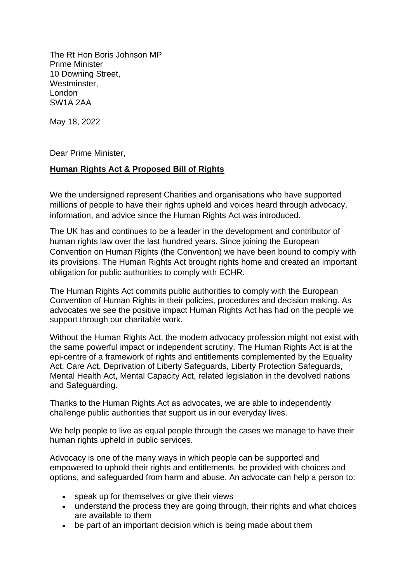The Rt Hon Boris Johnson MP Prime Minister 10 Downing Street, Westminster, London SW1A 2AA

May 18, 2022

Dear Prime Minister,

## **Human Rights Act & Proposed Bill of Rights**

We the undersigned represent Charities and organisations who have supported millions of people to have their rights upheld and voices heard through advocacy, information, and advice since the Human Rights Act was introduced.

The UK has and continues to be a leader in the development and contributor of human rights law over the last hundred years. Since joining the European Convention on Human Rights (the Convention) we have been bound to comply with its provisions. The Human Rights Act brought rights home and created an important obligation for public authorities to comply with ECHR.

The Human Rights Act commits public authorities to comply with the European Convention of Human Rights in their policies, procedures and decision making. As advocates we see the positive impact Human Rights Act has had on the people we support through our charitable work.

Without the Human Rights Act, the modern advocacy profession might not exist with the same powerful impact or independent scrutiny. The Human Rights Act is at the epi-centre of a framework of rights and entitlements complemented by the Equality Act, Care Act, Deprivation of Liberty Safeguards, Liberty Protection Safeguards, Mental Health Act, Mental Capacity Act, related legislation in the devolved nations and Safeguarding.

Thanks to the Human Rights Act as advocates, we are able to independently challenge public authorities that support us in our everyday lives.

We help people to live as equal people through the cases we manage to have their human rights upheld in public services.

Advocacy is one of the many ways in which people can be supported and empowered to uphold their rights and entitlements, be provided with choices and options, and safeguarded from harm and abuse. An advocate can help a person to:

- speak up for themselves or give their views
- understand the process they are going through, their rights and what choices are available to them
- be part of an important decision which is being made about them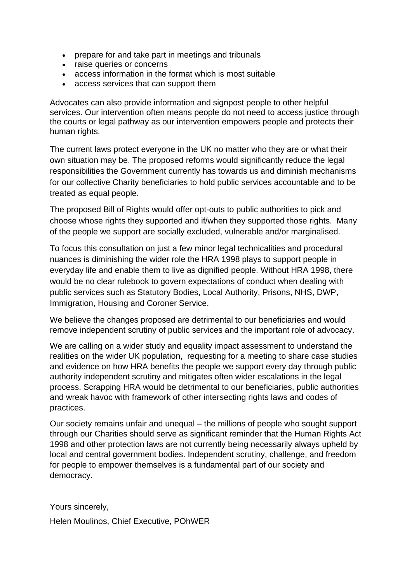- prepare for and take part in meetings and tribunals
- raise queries or concerns
- access information in the format which is most suitable
- access services that can support them

Advocates can also provide information and signpost people to other helpful services. Our intervention often means people do not need to access justice through the courts or legal pathway as our intervention empowers people and protects their human rights.

The current laws protect everyone in the UK no matter who they are or what their own situation may be. The proposed reforms would significantly reduce the legal responsibilities the Government currently has towards us and diminish mechanisms for our collective Charity beneficiaries to hold public services accountable and to be treated as equal people.

The proposed Bill of Rights would offer opt-outs to public authorities to pick and choose whose rights they supported and if/when they supported those rights. Many of the people we support are socially excluded, vulnerable and/or marginalised.

To focus this consultation on just a few minor legal technicalities and procedural nuances is diminishing the wider role the HRA 1998 plays to support people in everyday life and enable them to live as dignified people. Without HRA 1998, there would be no clear rulebook to govern expectations of conduct when dealing with public services such as Statutory Bodies, Local Authority, Prisons, NHS, DWP, Immigration, Housing and Coroner Service.

We believe the changes proposed are detrimental to our beneficiaries and would remove independent scrutiny of public services and the important role of advocacy.

We are calling on a wider study and equality impact assessment to understand the realities on the wider UK population, requesting for a meeting to share case studies and evidence on how HRA benefits the people we support every day through public authority independent scrutiny and mitigates often wider escalations in the legal process. Scrapping HRA would be detrimental to our beneficiaries, public authorities and wreak havoc with framework of other intersecting rights laws and codes of practices.

Our society remains unfair and unequal – the millions of people who sought support through our Charities should serve as significant reminder that the Human Rights Act 1998 and other protection laws are not currently being necessarily always upheld by local and central government bodies. Independent scrutiny, challenge, and freedom for people to empower themselves is a fundamental part of our society and democracy.

Yours sincerely,

Helen Moulinos, Chief Executive, POhWER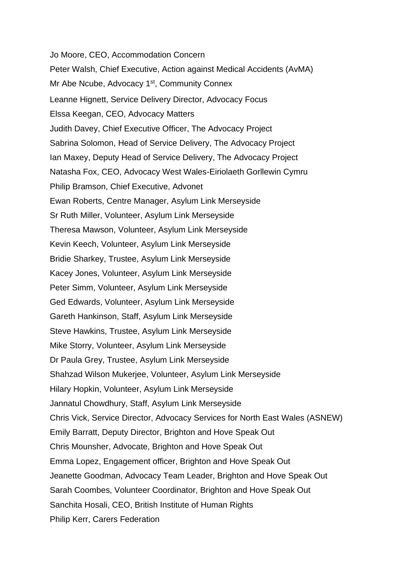Jo Moore, CEO, Accommodation Concern Peter Walsh, Chief Executive, Action against Medical Accidents (AvMA) Mr Abe Ncube, Advocacy 1<sup>st</sup>, Community Connex Leanne Hignett, Service Delivery Director, Advocacy Focus Elssa Keegan, CEO, Advocacy Matters Judith Davey, Chief Executive Officer, The Advocacy Project Sabrina Solomon, Head of Service Delivery, The Advocacy Project Ian Maxey, Deputy Head of Service Delivery, The Advocacy Project Natasha Fox, CEO, Advocacy West Wales-Eiriolaeth Gorllewin Cymru Philip Bramson, Chief Executive, Advonet Ewan Roberts, Centre Manager, Asylum Link Merseyside Sr Ruth Miller, Volunteer, Asylum Link Merseyside Theresa Mawson, Volunteer, Asylum Link Merseyside Kevin Keech, Volunteer, Asylum Link Merseyside Bridie Sharkey, Trustee, Asylum Link Merseyside Kacey Jones, Volunteer, Asylum Link Merseyside Peter Simm, Volunteer, Asylum Link Merseyside Ged Edwards, Volunteer, Asylum Link Merseyside Gareth Hankinson, Staff, Asylum Link Merseyside Steve Hawkins, Trustee, Asylum Link Merseyside Mike Storry, Volunteer, Asylum Link Merseyside Dr Paula Grey, Trustee, Asylum Link Merseyside Shahzad Wilson Mukerjee, Volunteer, Asylum Link Merseyside Hilary Hopkin, Volunteer, Asylum Link Merseyside Jannatul Chowdhury, Staff, Asylum Link Merseyside Chris Vick, Service Director, Advocacy Services for North East Wales (ASNEW) Emily Barratt, Deputy Director, Brighton and Hove Speak Out Chris Mounsher, Advocate, Brighton and Hove Speak Out Emma Lopez, Engagement officer, Brighton and Hove Speak Out Jeanette Goodman, Advocacy Team Leader, Brighton and Hove Speak Out Sarah Coombes, Volunteer Coordinator, Brighton and Hove Speak Out Sanchita Hosali, CEO, British Institute of Human Rights Philip Kerr, Carers Federation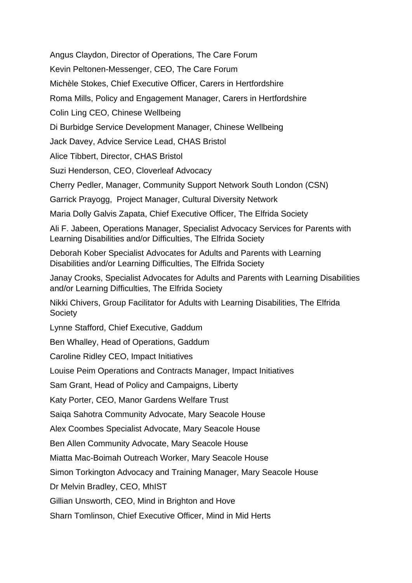Angus Claydon, Director of Operations, The Care Forum

Kevin Peltonen-Messenger, CEO, The Care Forum

Michèle Stokes, Chief Executive Officer, Carers in Hertfordshire

Roma Mills, Policy and Engagement Manager, Carers in Hertfordshire

Colin Ling CEO, Chinese Wellbeing

Di Burbidge Service Development Manager, Chinese Wellbeing

Jack Davey, Advice Service Lead, CHAS Bristol

Alice Tibbert, Director, CHAS Bristol

Suzi Henderson, CEO, Cloverleaf Advocacy

Cherry Pedler, Manager, Community Support Network South London (CSN)

Garrick Prayogg, Project Manager, Cultural Diversity Network

Maria Dolly Galvis Zapata, Chief Executive Officer, The Elfrida Society

Ali F. Jabeen, Operations Manager, Specialist Advocacy Services for Parents with Learning Disabilities and/or Difficulties, The Elfrida Society

Deborah Kober Specialist Advocates for Adults and Parents with Learning Disabilities and/or Learning Difficulties, The Elfrida Society

Janay Crooks, Specialist Advocates for Adults and Parents with Learning Disabilities and/or Learning Difficulties, The Elfrida Society

Nikki Chivers, Group Facilitator for Adults with Learning Disabilities, The Elfrida **Society** 

Lynne Stafford, Chief Executive, Gaddum

Ben Whalley, Head of Operations, Gaddum

Caroline Ridley CEO, Impact Initiatives

Louise Peim Operations and Contracts Manager, Impact Initiatives

Sam Grant, Head of Policy and Campaigns, Liberty

Katy Porter, CEO, Manor Gardens Welfare Trust

Saiqa Sahotra Community Advocate, Mary Seacole House

Alex Coombes Specialist Advocate, Mary Seacole House

Ben Allen Community Advocate, Mary Seacole House

Miatta Mac-Boimah Outreach Worker, Mary Seacole House

Simon Torkington Advocacy and Training Manager, Mary Seacole House

Dr Melvin Bradley, CEO, MhIST

Gillian Unsworth, CEO, Mind in Brighton and Hove

Sharn Tomlinson, Chief Executive Officer, Mind in Mid Herts